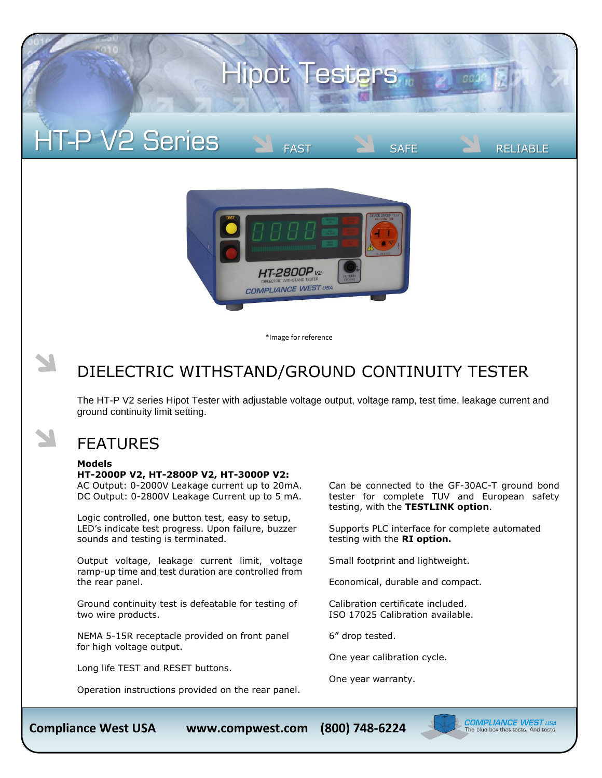# **Hipot Testers**

## **HT-P V2 Series**



\*Image for reference

### DIELECTRIC WITHSTAND/GROUND CONTINUITY TESTER

The HT-P V2 series Hipot Tester with adjustable voltage output, voltage ramp, test time, leakage current and ground continuity limit setting.

### FEATURES

#### **Models**

#### **HT-2000P V2, HT-2800P V2, HT-3000P V2:**

AC Output: 0-2000V Leakage current up to 20mA. DC Output: 0-2800V Leakage Current up to 5 mA.

Logic controlled, one button test, easy to setup, LED's indicate test progress. Upon failure, buzzer sounds and testing is terminated.

Output voltage, leakage current limit, voltage ramp-up time and test duration are controlled from the rear panel.

Ground continuity test is defeatable for testing of two wire products.

NEMA 5-15R receptacle provided on front panel for high voltage output.

Long life TEST and RESET buttons.

Operation instructions provided on the rear panel.

Can be connected to the GF-30AC-T ground bond tester for complete TUV and European safety testing, with the **TESTLINK option**.

Supports PLC interface for complete automated testing with the **RI option.**

FAST **SAFE** RELIABLE

Small footprint and lightweight.

Economical, durable and compact.

Calibration certificate included. ISO 17025 Calibration available.

6" drop tested.

One year calibration cycle.

One year warranty.



(800) 748-6224

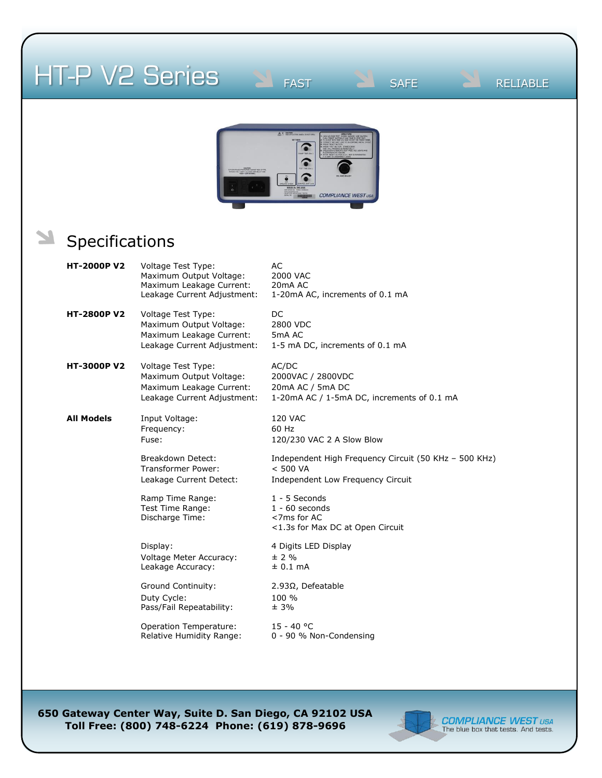## HT-P V2 Series

FAST **SAFE** RELIABLE



### Specifications

| <b>HT-2000P V2</b> | Voltage Test Type:<br>Maximum Output Voltage:<br>Maximum Leakage Current:<br>Leakage Current Adjustment: | AC<br>2000 VAC<br>20 <sub>m</sub> A AC<br>1-20mA AC, increments of 0.1 mA                              |
|--------------------|----------------------------------------------------------------------------------------------------------|--------------------------------------------------------------------------------------------------------|
| <b>HT-2800P V2</b> | Voltage Test Type:<br>Maximum Output Voltage:<br>Maximum Leakage Current:<br>Leakage Current Adjustment: | DC<br>2800 VDC<br>5mA AC<br>1-5 mA DC, increments of 0.1 mA                                            |
| <b>HT-3000P V2</b> | Voltage Test Type:<br>Maximum Output Voltage:<br>Maximum Leakage Current:<br>Leakage Current Adjustment: | AC/DC<br>2000VAC / 2800VDC<br>20mA AC / 5mA DC<br>1-20mA AC / 1-5mA DC, increments of 0.1 mA           |
| <b>All Models</b>  | Input Voltage:<br>Frequency:<br>Fuse:                                                                    | <b>120 VAC</b><br>60 Hz<br>120/230 VAC 2 A Slow Blow                                                   |
|                    | Breakdown Detect:<br><b>Transformer Power:</b><br>Leakage Current Detect:                                | Independent High Frequency Circuit (50 KHz - 500 KHz)<br>< 500 VA<br>Independent Low Frequency Circuit |
|                    | Ramp Time Range:<br>Test Time Range:<br>Discharge Time:                                                  | $1 - 5$ Seconds<br>$1 - 60$ seconds<br><7ms for AC<br><1.3s for Max DC at Open Circuit                 |
|                    | Display:<br>Voltage Meter Accuracy:<br>Leakage Accuracy:                                                 | 4 Digits LED Display<br>± 2 %<br>$± 0.1$ mA                                                            |
|                    | <b>Ground Continuity:</b><br>Duty Cycle:<br>Pass/Fail Repeatability:                                     | 2.93Ω, Defeatable<br>100 %<br>$± 3\%$                                                                  |
|                    | Operation Temperature:<br>Relative Humidity Range:                                                       | $15 - 40 °C$<br>0 - 90 % Non-Condensing                                                                |

**650 Gateway Center Way, Suite D. San Diego, CA 92102 USA Toll Free: (800) 748-6224 Phone: (619) 878-9696**